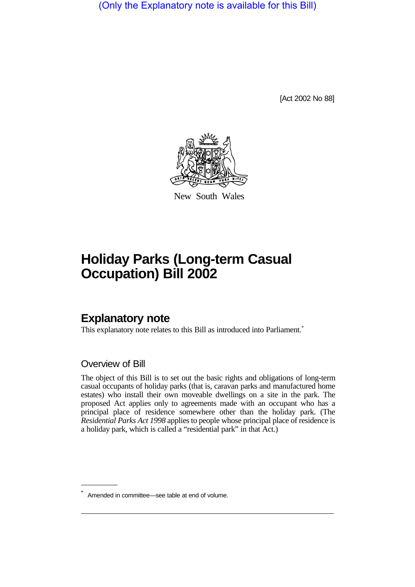(Only the Explanatory note is available for this Bill)

[Act 2002 No 88]



New South Wales

# **Holiday Parks (Long-term Casual Occupation) Bill 2002**

# **Explanatory note**

This explanatory note relates to this Bill as introduced into Parliament.<sup>\*</sup>

## Overview of Bill

The object of this Bill is to set out the basic rights and obligations of long-term casual occupants of holiday parks (that is, caravan parks and manufactured home estates) who install their own moveable dwellings on a site in the park. The proposed Act applies only to agreements made with an occupant who has a principal place of residence somewhere other than the holiday park. (The *Residential Parks Act 1998* applies to people whose principal place of residence is a holiday park, which is called a "residential park" in that Act.)

Amended in committee—see table at end of volume.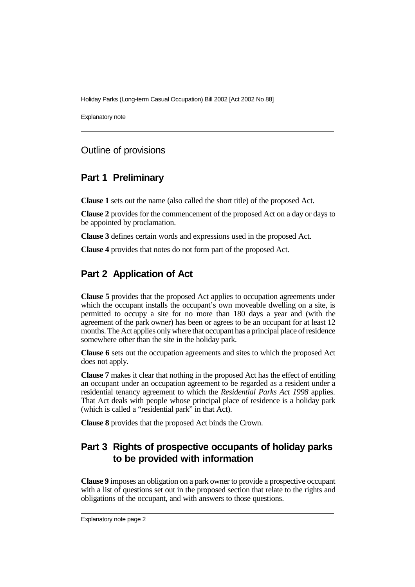Explanatory note

#### Outline of provisions

#### **Part 1 Preliminary**

**Clause 1** sets out the name (also called the short title) of the proposed Act.

**Clause 2** provides for the commencement of the proposed Act on a day or days to be appointed by proclamation.

**Clause 3** defines certain words and expressions used in the proposed Act.

**Clause 4** provides that notes do not form part of the proposed Act.

# **Part 2 Application of Act**

**Clause 5** provides that the proposed Act applies to occupation agreements under which the occupant installs the occupant's own moveable dwelling on a site, is permitted to occupy a site for no more than 180 days a year and (with the agreement of the park owner) has been or agrees to be an occupant for at least 12 months. The Act applies only where that occupant has a principal place of residence somewhere other than the site in the holiday park.

**Clause 6** sets out the occupation agreements and sites to which the proposed Act does not apply.

**Clause 7** makes it clear that nothing in the proposed Act has the effect of entitling an occupant under an occupation agreement to be regarded as a resident under a residential tenancy agreement to which the *Residential Parks Act 1998* applies. That Act deals with people whose principal place of residence is a holiday park (which is called a "residential park" in that Act).

**Clause 8** provides that the proposed Act binds the Crown.

# **Part 3 Rights of prospective occupants of holiday parks to be provided with information**

**Clause 9** imposes an obligation on a park owner to provide a prospective occupant with a list of questions set out in the proposed section that relate to the rights and obligations of the occupant, and with answers to those questions.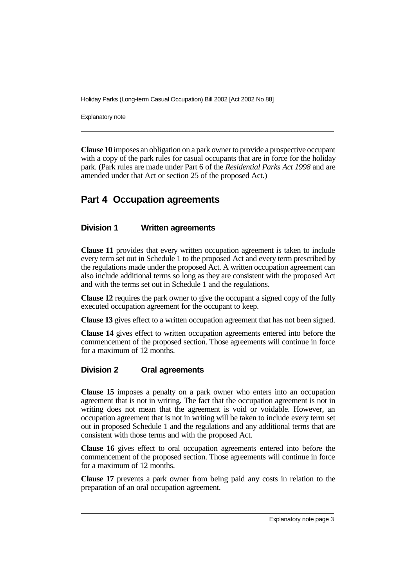Explanatory note

**Clause 10** imposes an obligation on a park owner to provide a prospective occupant with a copy of the park rules for casual occupants that are in force for the holiday park. (Park rules are made under Part 6 of the *Residential Parks Act 1998* and are amended under that Act or section 25 of the proposed Act.)

## **Part 4 Occupation agreements**

#### **Division 1 Written agreements**

**Clause 11** provides that every written occupation agreement is taken to include every term set out in Schedule 1 to the proposed Act and every term prescribed by the regulations made under the proposed Act. A written occupation agreement can also include additional terms so long as they are consistent with the proposed Act and with the terms set out in Schedule 1 and the regulations.

**Clause 12** requires the park owner to give the occupant a signed copy of the fully executed occupation agreement for the occupant to keep.

**Clause 13** gives effect to a written occupation agreement that has not been signed.

**Clause 14** gives effect to written occupation agreements entered into before the commencement of the proposed section. Those agreements will continue in force for a maximum of 12 months.

#### **Division 2 Oral agreements**

**Clause 15** imposes a penalty on a park owner who enters into an occupation agreement that is not in writing. The fact that the occupation agreement is not in writing does not mean that the agreement is void or voidable. However, an occupation agreement that is not in writing will be taken to include every term set out in proposed Schedule 1 and the regulations and any additional terms that are consistent with those terms and with the proposed Act.

**Clause 16** gives effect to oral occupation agreements entered into before the commencement of the proposed section. Those agreements will continue in force for a maximum of 12 months.

**Clause 17** prevents a park owner from being paid any costs in relation to the preparation of an oral occupation agreement.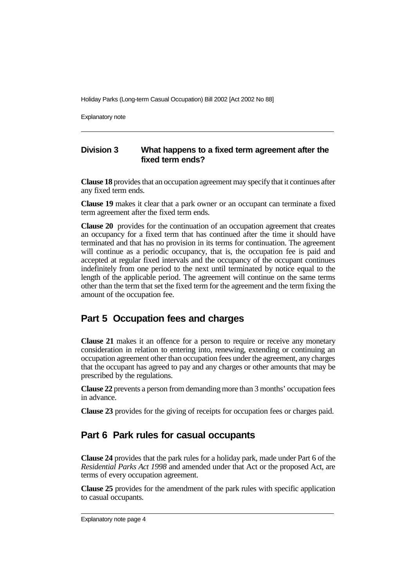Explanatory note

#### **Division 3 What happens to a fixed term agreement after the fixed term ends?**

**Clause 18** provides that an occupation agreement may specify that it continues after any fixed term ends.

**Clause 19** makes it clear that a park owner or an occupant can terminate a fixed term agreement after the fixed term ends.

**Clause 20** provides for the continuation of an occupation agreement that creates an occupancy for a fixed term that has continued after the time it should have terminated and that has no provision in its terms for continuation. The agreement will continue as a periodic occupancy, that is, the occupation fee is paid and accepted at regular fixed intervals and the occupancy of the occupant continues indefinitely from one period to the next until terminated by notice equal to the length of the applicable period. The agreement will continue on the same terms other than the term that set the fixed term for the agreement and the term fixing the amount of the occupation fee.

## **Part 5 Occupation fees and charges**

**Clause 21** makes it an offence for a person to require or receive any monetary consideration in relation to entering into, renewing, extending or continuing an occupation agreement other than occupation fees under the agreement, any charges that the occupant has agreed to pay and any charges or other amounts that may be prescribed by the regulations.

**Clause 22** prevents a person from demanding more than 3 months' occupation fees in advance.

**Clause 23** provides for the giving of receipts for occupation fees or charges paid.

## **Part 6 Park rules for casual occupants**

**Clause 24** provides that the park rules for a holiday park, made under Part 6 of the *Residential Parks Act 1998* and amended under that Act or the proposed Act, are terms of every occupation agreement.

**Clause 25** provides for the amendment of the park rules with specific application to casual occupants.

Explanatory note page 4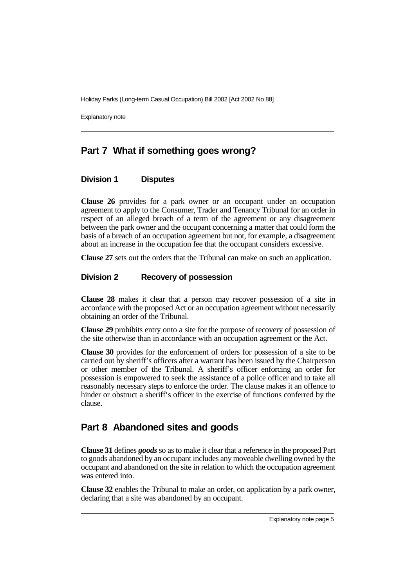Explanatory note

# **Part 7 What if something goes wrong?**

#### **Division 1 Disputes**

**Clause 26** provides for a park owner or an occupant under an occupation agreement to apply to the Consumer, Trader and Tenancy Tribunal for an order in respect of an alleged breach of a term of the agreement or any disagreement between the park owner and the occupant concerning a matter that could form the basis of a breach of an occupation agreement but not, for example, a disagreement about an increase in the occupation fee that the occupant considers excessive.

**Clause 27** sets out the orders that the Tribunal can make on such an application.

#### **Division 2 Recovery of possession**

**Clause 28** makes it clear that a person may recover possession of a site in accordance with the proposed Act or an occupation agreement without necessarily obtaining an order of the Tribunal.

**Clause 29** prohibits entry onto a site for the purpose of recovery of possession of the site otherwise than in accordance with an occupation agreement or the Act.

**Clause 30** provides for the enforcement of orders for possession of a site to be carried out by sheriff's officers after a warrant has been issued by the Chairperson or other member of the Tribunal. A sheriff's officer enforcing an order for possession is empowered to seek the assistance of a police officer and to take all reasonably necessary steps to enforce the order. The clause makes it an offence to hinder or obstruct a sheriff's officer in the exercise of functions conferred by the clause.

## **Part 8 Abandoned sites and goods**

**Clause 31** defines *goods* so as to make it clear that a reference in the proposed Part to goods abandoned by an occupant includes any moveable dwelling owned by the occupant and abandoned on the site in relation to which the occupation agreement was entered into.

**Clause 32** enables the Tribunal to make an order, on application by a park owner, declaring that a site was abandoned by an occupant.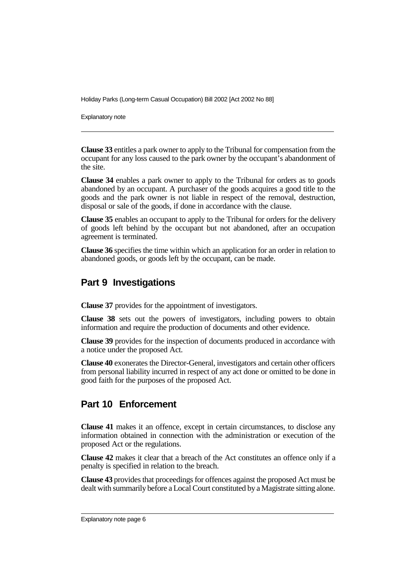Explanatory note

**Clause 33** entitles a park owner to apply to the Tribunal for compensation from the occupant for any loss caused to the park owner by the occupant's abandonment of the site.

**Clause 34** enables a park owner to apply to the Tribunal for orders as to goods abandoned by an occupant. A purchaser of the goods acquires a good title to the goods and the park owner is not liable in respect of the removal, destruction, disposal or sale of the goods, if done in accordance with the clause.

**Clause 35** enables an occupant to apply to the Tribunal for orders for the delivery of goods left behind by the occupant but not abandoned, after an occupation agreement is terminated.

**Clause 36** specifies the time within which an application for an order in relation to abandoned goods, or goods left by the occupant, can be made.

#### **Part 9 Investigations**

**Clause 37** provides for the appointment of investigators.

**Clause 38** sets out the powers of investigators, including powers to obtain information and require the production of documents and other evidence.

**Clause 39** provides for the inspection of documents produced in accordance with a notice under the proposed Act.

**Clause 40** exonerates the Director-General, investigators and certain other officers from personal liability incurred in respect of any act done or omitted to be done in good faith for the purposes of the proposed Act.

## **Part 10 Enforcement**

**Clause 41** makes it an offence, except in certain circumstances, to disclose any information obtained in connection with the administration or execution of the proposed Act or the regulations.

**Clause 42** makes it clear that a breach of the Act constitutes an offence only if a penalty is specified in relation to the breach.

**Clause 43** provides that proceedings for offences against the proposed Act must be dealt with summarily before a Local Court constituted by a Magistrate sitting alone.

Explanatory note page 6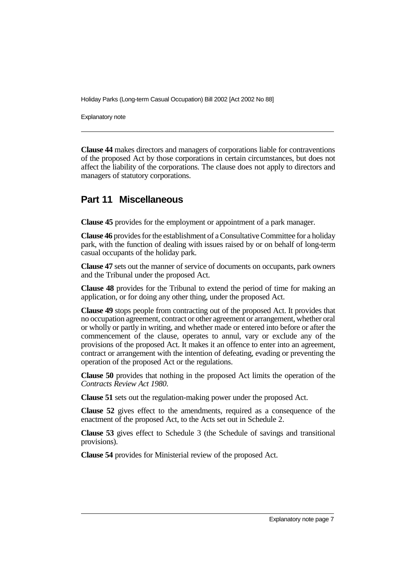Explanatory note

**Clause 44** makes directors and managers of corporations liable for contraventions of the proposed Act by those corporations in certain circumstances, but does not affect the liability of the corporations. The clause does not apply to directors and managers of statutory corporations.

## **Part 11 Miscellaneous**

**Clause 45** provides for the employment or appointment of a park manager.

**Clause 46** provides for the establishment of a Consultative Committee for a holiday park, with the function of dealing with issues raised by or on behalf of long-term casual occupants of the holiday park.

**Clause 47** sets out the manner of service of documents on occupants, park owners and the Tribunal under the proposed Act.

**Clause 48** provides for the Tribunal to extend the period of time for making an application, or for doing any other thing, under the proposed Act.

**Clause 49** stops people from contracting out of the proposed Act. It provides that no occupation agreement, contract or other agreement or arrangement, whether oral or wholly or partly in writing, and whether made or entered into before or after the commencement of the clause, operates to annul, vary or exclude any of the provisions of the proposed Act. It makes it an offence to enter into an agreement, contract or arrangement with the intention of defeating, evading or preventing the operation of the proposed Act or the regulations.

**Clause 50** provides that nothing in the proposed Act limits the operation of the *Contracts Review Act 1980*.

**Clause 51** sets out the regulation-making power under the proposed Act.

**Clause 52** gives effect to the amendments, required as a consequence of the enactment of the proposed Act, to the Acts set out in Schedule 2.

**Clause 53** gives effect to Schedule 3 (the Schedule of savings and transitional provisions).

**Clause 54** provides for Ministerial review of the proposed Act.